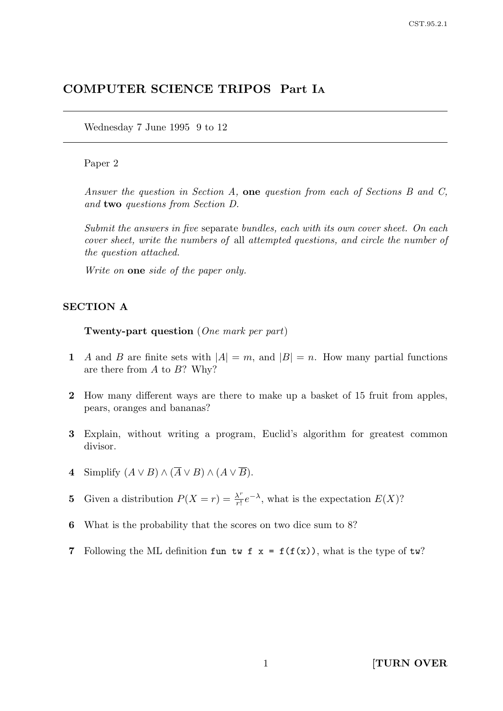# COMPUTER SCIENCE TRIPOS Part I<sup>A</sup>

Wednesday 7 June 1995 9 to 12

### Paper 2

Answer the question in Section A, one question from each of Sections B and C, and two questions from Section D.

Submit the answers in five separate bundles, each with its own cover sheet. On each cover sheet, write the numbers of all attempted questions, and circle the number of the question attached.

Write on **one** side of the paper only.

#### SECTION A

Twenty-part question (One mark per part)

- 1 A and B are finite sets with  $|A| = m$ , and  $|B| = n$ . How many partial functions are there from  $A$  to  $B$ ? Why?
- 2 How many different ways are there to make up a basket of 15 fruit from apples, pears, oranges and bananas?
- 3 Explain, without writing a program, Euclid's algorithm for greatest common divisor.
- 4 Simplify  $(A \vee B) \wedge (\overline{A} \vee B) \wedge (A \vee \overline{B}).$
- **5** Given a distribution  $P(X = r) = \frac{\lambda^r}{r!}$  $\frac{\lambda^r}{r!}e^{-\lambda}$ , what is the expectation  $E(X)$ ?
- 6 What is the probability that the scores on two dice sum to 8?
- 7 Following the ML definition fun tw f  $x = f(f(x))$ , what is the type of tw?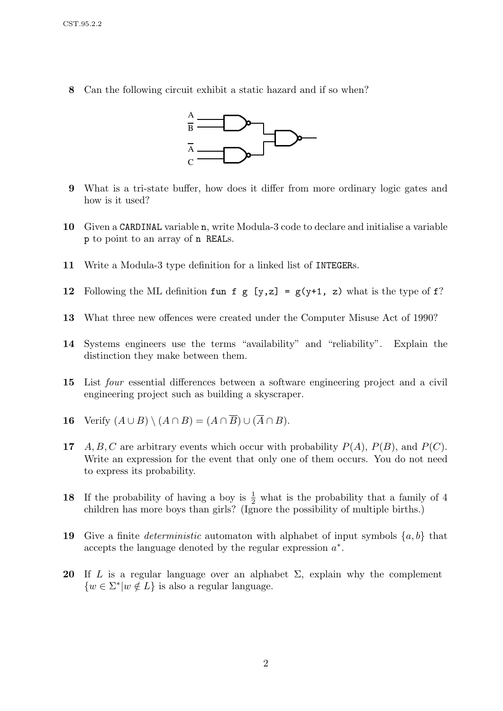8 Can the following circuit exhibit a static hazard and if so when?



- 9 What is a tri-state buffer, how does it differ from more ordinary logic gates and how is it used?
- 10 Given a CARDINAL variable n, write Modula-3 code to declare and initialise a variable p to point to an array of n REALs.
- 11 Write a Modula-3 type definition for a linked list of INTEGERs.
- 12 Following the ML definition fun f g [y,z] =  $g(y+1, z)$  what is the type of f?
- 13 What three new offences were created under the Computer Misuse Act of 1990?
- 14 Systems engineers use the terms "availability" and "reliability". Explain the distinction they make between them.
- 15 List four essential differences between a software engineering project and a civil engineering project such as building a skyscraper.
- 16 Verify  $(A \cup B) \setminus (A \cap B) = (A \cap \overline{B}) \cup (\overline{A} \cap B)$ .
- 17 A, B, C are arbitrary events which occur with probability  $P(A)$ ,  $P(B)$ , and  $P(C)$ . Write an expression for the event that only one of them occurs. You do not need to express its probability.
- **18** If the probability of having a boy is  $\frac{1}{2}$  what is the probability that a family of 4 children has more boys than girls? (Ignore the possibility of multiple births.)
- 19 Give a finite *deterministic* automaton with alphabet of input symbols  $\{a, b\}$  that accepts the language denoted by the regular expression  $a^*$ .
- 20 If L is a regular language over an alphabet  $\Sigma$ , explain why the complement  $\{w \in \Sigma^* | w \notin L\}$  is also a regular language.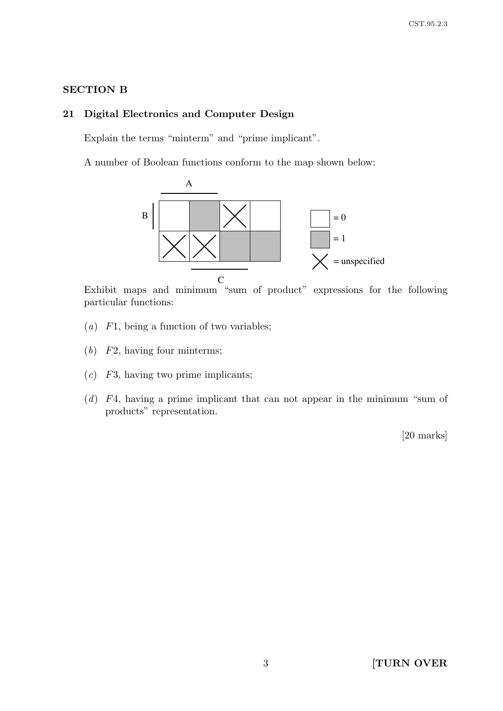# SECTION B

# 21 Digital Electronics and Computer Design

Explain the terms "minterm" and "prime implicant".

A number of Boolean functions conform to the map shown below:



Exhibit maps and minimum "sum of product" expressions for the following particular functions:

- (a)  $F1$ , being a function of two variables;
- (b) F2, having four minterms;
- $(c)$  F3, having two prime implicants;
- (d) F4, having a prime implicant that can not appear in the minimum "sum of products" representation.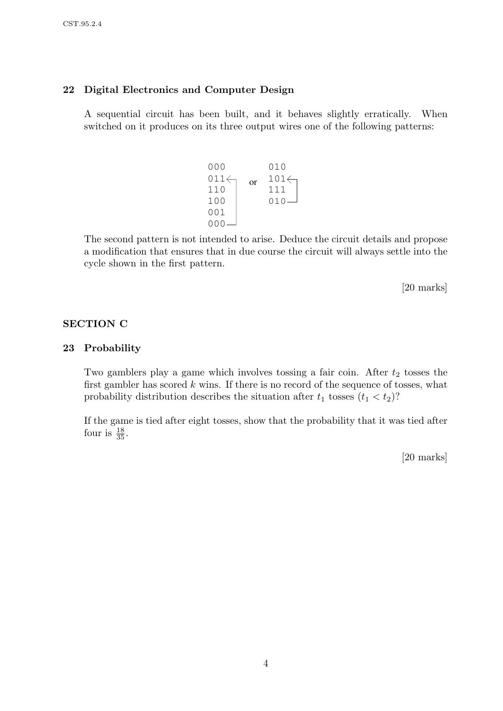# 22 Digital Electronics and Computer Design

A sequential circuit has been built, and it behaves slightly erratically. When switched on it produces on its three output wires one of the following patterns:

$$
\begin{array}{c}\n 000 & 010 \\
011 \leftarrow \\
110 \\
100 \\
001 \\
000\n \end{array}\n \quad \text{or} \quad\n \begin{array}{c}\n 010 \\
101 \leftarrow \\
111 \\
010\n \end{array}
$$

The second pattern is not intended to arise. Deduce the circuit details and propose a modification that ensures that in due course the circuit will always settle into the cycle shown in the first pattern.

[20 marks]

# SECTION C

#### 23 Probability

Two gamblers play a game which involves tossing a fair coin. After  $t_2$  tosses the first gambler has scored  $k$  wins. If there is no record of the sequence of tosses, what probability distribution describes the situation after  $t_1$  tosses  $(t_1 < t_2)$ ?

If the game is tied after eight tosses, show that the probability that it was tied after four is  $\frac{18}{35}$ .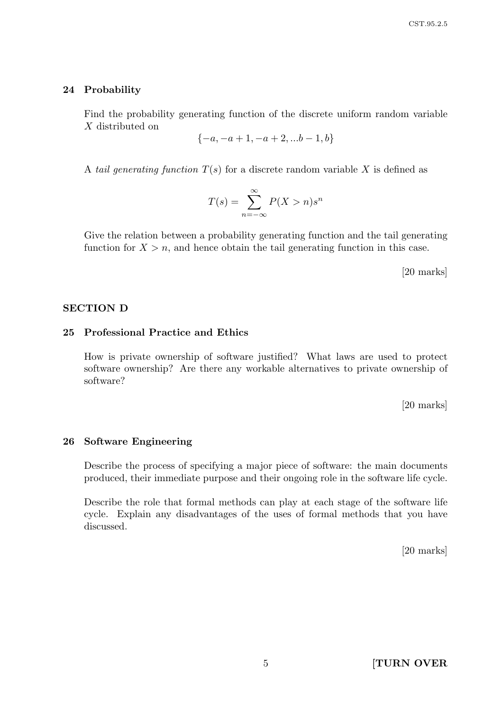#### 24 Probability

Find the probability generating function of the discrete uniform random variable X distributed on

$$
\{-a, -a+1, -a+2, ...b-1, b\}
$$

A tail generating function  $T(s)$  for a discrete random variable X is defined as

$$
T(s) = \sum_{n = -\infty}^{\infty} P(X > n) s^n
$$

Give the relation between a probability generating function and the tail generating function for  $X > n$ , and hence obtain the tail generating function in this case.

[20 marks]

### SECTION D

# 25 Professional Practice and Ethics

How is private ownership of software justified? What laws are used to protect software ownership? Are there any workable alternatives to private ownership of software?

[20 marks]

#### 26 Software Engineering

Describe the process of specifying a major piece of software: the main documents produced, their immediate purpose and their ongoing role in the software life cycle.

Describe the role that formal methods can play at each stage of the software life cycle. Explain any disadvantages of the uses of formal methods that you have discussed.